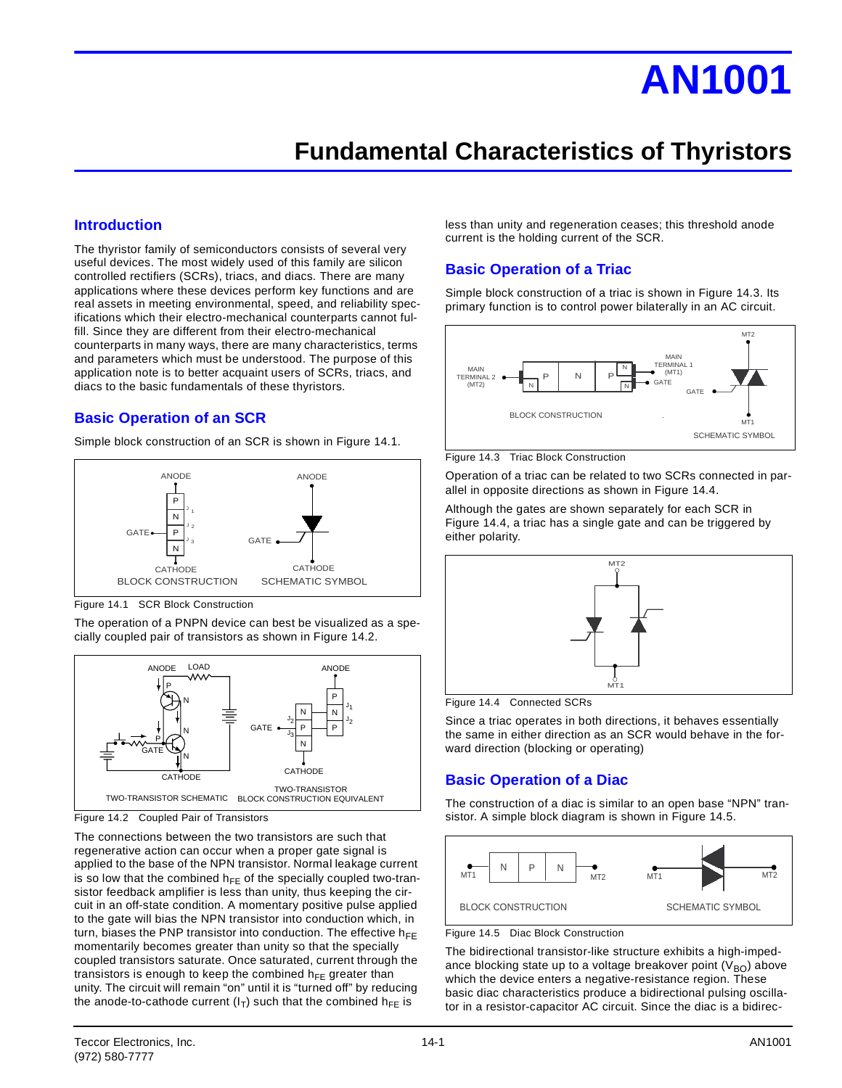# **AN1001**

# **Fundamental Characteristics of Thyristors**

### **Introduction**

The thyristor family of semiconductors consists of several very useful devices. The most widely used of this family are silicon controlled rectifiers (SCRs), triacs, and diacs. There are many applications where these devices perform key functions and are real assets in meeting environmental, speed, and reliability specifications which their electro-mechanical counterparts cannot fulfill. Since they are different from their electro-mechanical counterparts in many ways, there are many characteristics, terms and parameters which must be understood. The purpose of this application note is to better acquaint users of SCRs, triacs, and diacs to the basic fundamentals of these thyristors.

# **Basic Operation of an SCR**

Simple block construction of an SCR is shown in Figure 14.1.



Figure 14.1 SCR Block Construction

The operation of a PNPN device can best be visualized as a specially coupled pair of transistors as shown in Figure 14.2.



Figure 14.2 Coupled Pair of Transistors

The connections between the two transistors are such that regenerative action can occur when a proper gate signal is applied to the base of the NPN transistor. Normal leakage current is so low that the combined  $h_{FF}$  of the specially coupled two-transistor feedback amplifier is less than unity, thus keeping the circuit in an off-state condition. A momentary positive pulse applied to the gate will bias the NPN transistor into conduction which, in turn, biases the PNP transistor into conduction. The effective  $h_{EE}$ momentarily becomes greater than unity so that the specially coupled transistors saturate. Once saturated, current through the transistors is enough to keep the combined  $h_{FE}$  greater than unity. The circuit will remain "on" until it is "turned off" by reducing the anode-to-cathode current  $(I_T)$  such that the combined  $h_{FE}$  is

less than unity and regeneration ceases; this threshold anode current is the holding current of the SCR.

### **Basic Operation of a Triac**

Simple block construction of a triac is shown in Figure 14.3. Its primary function is to control power bilaterally in an AC circuit.



Figure 14.3 Triac Block Construction

Operation of a triac can be related to two SCRs connected in parallel in opposite directions as shown in Figure 14.4.

Although the gates are shown separately for each SCR in Figure 14.4, a triac has a single gate and can be triggered by either polarity.



Figure 14.4 Connected SCRs

Since a triac operates in both directions, it behaves essentially the same in either direction as an SCR would behave in the forward direction (blocking or operating)

# **Basic Operation of a Diac**

The construction of a diac is similar to an open base "NPN" transistor. A simple block diagram is shown in Figure 14.5.



Figure 14.5 Diac Block Construction

The bidirectional transistor-like structure exhibits a high-impedance blocking state up to a voltage breakover point  $(V_{BO})$  above which the device enters a negative-resistance region. These basic diac characteristics produce a bidirectional pulsing oscillator in a resistor-capacitor AC circuit. Since the diac is a bidirec-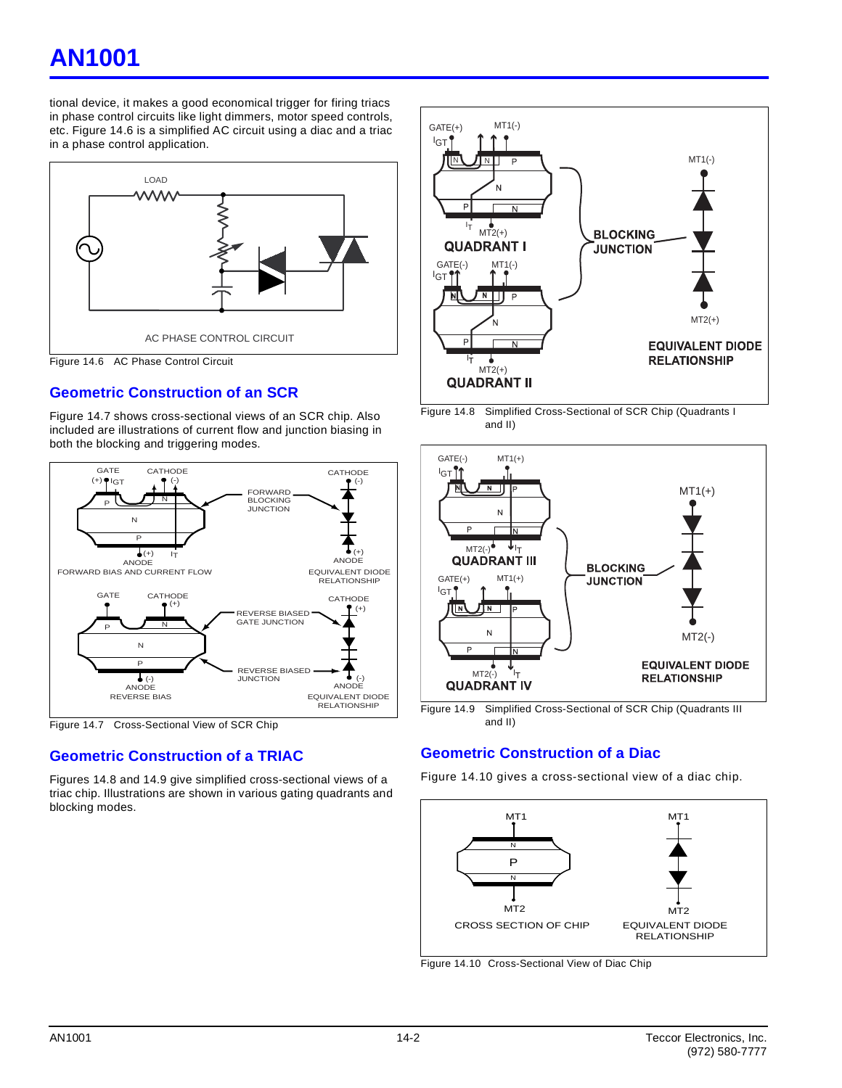# **AN1001**

tional device, it makes a good economical trigger for firing triacs in phase control circuits like light dimmers, motor speed controls, etc. Figure 14.6 is a simplified AC circuit using a diac and a triac in a phase control application.



# **Geometric Construction of an SCR**

Figure 14.7 shows cross-sectional views of an SCR chip. Also included are illustrations of current flow and junction biasing in both the blocking and triggering modes.





# **Geometric Construction of a TRIAC**

Figures 14.8 and 14.9 give simplified cross-sectional views of a triac chip. Illustrations are shown in various gating quadrants and blocking modes.



Figure 14.8 Simplified Cross-Sectional of SCR Chip (Quadrants I and II)



and II)

# **Geometric Construction of a Diac**

Figure 14.10 gives a cross-sectional view of a diac chip.



Figure 14.10 Cross-Sectional View of Diac Chip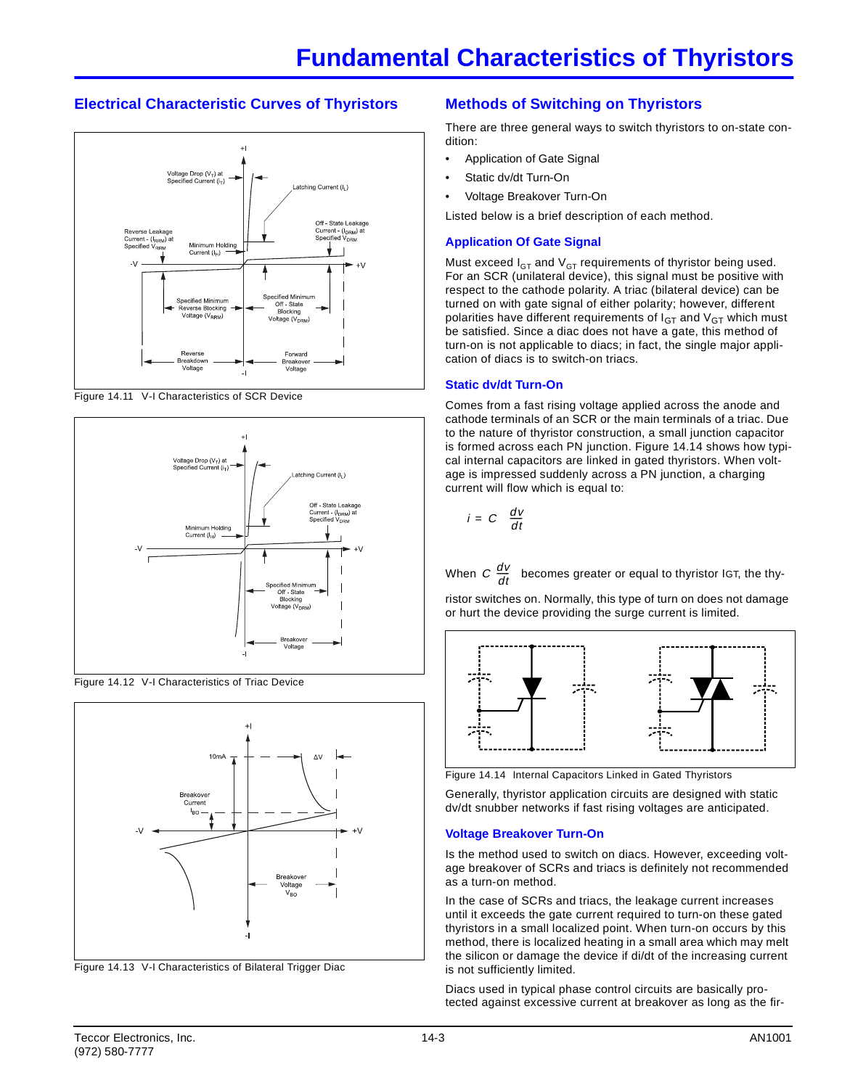# **Electrical Characteristic Curves of Thyristors**



Figure 14.11 V-I Characteristics of SCR Device



Figure 14.12 V-I Characteristics of Triac Device



Figure 14.13 V-I Characteristics of Bilateral Trigger Diac

# **Methods of Switching on Thyristors**

There are three general ways to switch thyristors to on-state condition:

- Application of Gate Signal
- Static dv/dt Turn-On
- Voltage Breakover Turn-On

Listed below is a brief description of each method.

#### **Application Of Gate Signal**

Must exceed  $I_{GT}$  and  $V_{GT}$  requirements of thyristor being used. For an SCR (unilateral device), this signal must be positive with respect to the cathode polarity. A triac (bilateral device) can be turned on with gate signal of either polarity; however, different polarities have different requirements of  $I<sub>GT</sub>$  and  $V<sub>GT</sub>$  which must be satisfied. Since a diac does not have a gate, this method of turn-on is not applicable to diacs; in fact, the single major application of diacs is to switch-on triacs.

#### **Static dv/dt Turn-On**

Comes from a fast rising voltage applied across the anode and cathode terminals of an SCR or the main terminals of a triac. Due to the nature of thyristor construction, a small junction capacitor is formed across each PN junction. Figure 14.14 shows how typical internal capacitors are linked in gated thyristors. When voltage is impressed suddenly across a PN junction, a charging current will flow which is equal to:

$$
i = C \left( \frac{dV}{dt} \right)
$$

When  $C\left(\frac{dv}{dt}\right)$  becomes greater or equal to thyristor IGT, the thy- $\frac{dv}{dt}$  $\left(\frac{dV}{dt}\right)$ 

ristor switches on. Normally, this type of turn on does not damage or hurt the device providing the surge current is limited.



Figure 14.14 Internal Capacitors Linked in Gated Thyristors

Generally, thyristor application circuits are designed with static dv/dt snubber networks if fast rising voltages are anticipated.

#### **Voltage Breakover Turn-On**

Is the method used to switch on diacs. However, exceeding voltage breakover of SCRs and triacs is definitely not recommended as a turn-on method.

In the case of SCRs and triacs, the leakage current increases until it exceeds the gate current required to turn-on these gated thyristors in a small localized point. When turn-on occurs by this method, there is localized heating in a small area which may melt the silicon or damage the device if di/dt of the increasing current is not sufficiently limited.

Diacs used in typical phase control circuits are basically protected against excessive current at breakover as long as the fir-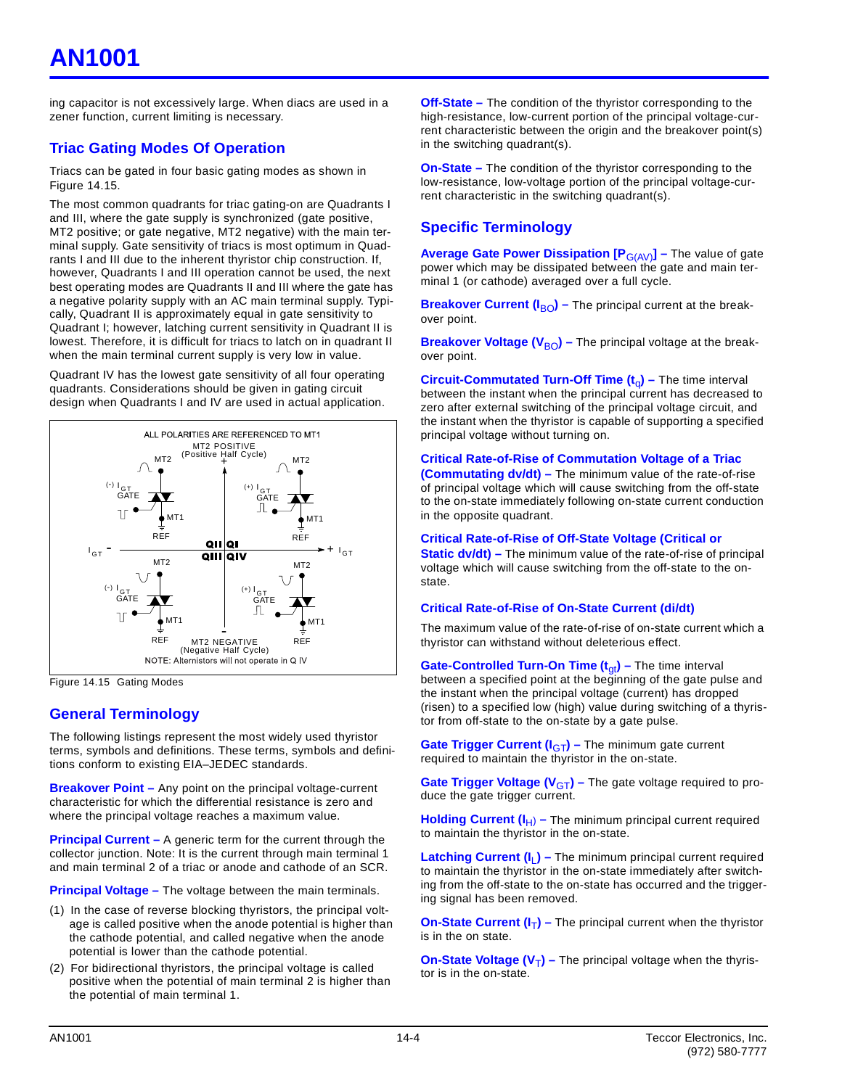# **AN1001**

ing capacitor is not excessively large. When diacs are used in a zener function, current limiting is necessary.

# **Triac Gating Modes Of Operation**

Triacs can be gated in four basic gating modes as shown in Figure 14.15.

The most common quadrants for triac gating-on are Quadrants I and III, where the gate supply is synchronized (gate positive, MT2 positive; or gate negative, MT2 negative) with the main terminal supply. Gate sensitivity of triacs is most optimum in Quadrants I and III due to the inherent thyristor chip construction. If, however, Quadrants I and III operation cannot be used, the next best operating modes are Quadrants II and III where the gate has a negative polarity supply with an AC main terminal supply. Typically, Quadrant II is approximately equal in gate sensitivity to Quadrant I; however, latching current sensitivity in Quadrant II is lowest. Therefore, it is difficult for triacs to latch on in quadrant II when the main terminal current supply is very low in value.

Quadrant IV has the lowest gate sensitivity of all four operating quadrants. Considerations should be given in gating circuit design when Quadrants I and IV are used in actual application.



Figure 14.15 Gating Modes

# **General Terminology**

The following listings represent the most widely used thyristor terms, symbols and definitions. These terms, symbols and definitions conform to existing EIA–JEDEC standards.

**Breakover Point – Any point on the principal voltage-current** characteristic for which the differential resistance is zero and where the principal voltage reaches a maximum value.

**Principal Current – A generic term for the current through the** collector junction. Note: It is the current through main terminal 1 and main terminal 2 of a triac or anode and cathode of an SCR.

**Principal Voltage –** The voltage between the main terminals.

- (1) In the case of reverse blocking thyristors, the principal voltage is called positive when the anode potential is higher than the cathode potential, and called negative when the anode potential is lower than the cathode potential.
- (2) For bidirectional thyristors, the principal voltage is called positive when the potential of main terminal 2 is higher than the potential of main terminal 1.

**Off-State –** The condition of the thyristor corresponding to the high-resistance, low-current portion of the principal voltage-current characteristic between the origin and the breakover point(s) in the switching quadrant(s).

**On-State –** The condition of the thyristor corresponding to the low-resistance, low-voltage portion of the principal voltage-current characteristic in the switching quadrant(s).

### **Specific Terminology**

**Average Gate Power Dissipation [P**G(AV)**] –** The value of gate power which may be dissipated between the gate and main terminal 1 (or cathode) averaged over a full cycle.

**Breakover Current (I<sub>BO</sub>)** – The principal current at the breakover point.

**Breakover Voltage (V<sub>BO</sub>)** – The principal voltage at the breakover point.

**Circuit-Commutated Turn-Off Time (t<sub>a</sub>) –** The time interval between the instant when the principal current has decreased to zero after external switching of the principal voltage circuit, and the instant when the thyristor is capable of supporting a specified principal voltage without turning on.

#### **Critical Rate-of-Rise of Commutation Voltage of a Triac**

**(Commutating dv/dt) –** The minimum value of the rate-of-rise of principal voltage which will cause switching from the off-state to the on-state immediately following on-state current conduction in the opposite quadrant.

#### **Critical Rate-of-Rise of Off-State Voltage (Critical or**

**Static dv/dt)** – The minimum value of the rate-of-rise of principal voltage which will cause switching from the off-state to the onstate.

#### **Critical Rate-of-Rise of On-State Current (di/dt)**

The maximum value of the rate-of-rise of on-state current which a thyristor can withstand without deleterious effect.

**Gate-Controlled Turn-On Time (t<sub>qt</sub>) – The time interval** between a specified point at the beginning of the gate pulse and the instant when the principal voltage (current) has dropped (risen) to a specified low (high) value during switching of a thyristor from off-state to the on-state by a gate pulse.

**Gate Trigger Current (I<sub>GT</sub>) – The minimum gate current** required to maintain the thyristor in the on-state.

**Gate Trigger Voltage (V<sub>GT</sub>) – The gate voltage required to pro**duce the gate trigger current.

**Holding Current (I<sub>H</sub>) – The minimum principal current required** to maintain the thyristor in the on-state.

**Latching Current (I<sub>L</sub>) – The minimum principal current required** to maintain the thyristor in the on-state immediately after switching from the off-state to the on-state has occurred and the triggering signal has been removed.

**On-State Current**  $(I_T)$  **– The principal current when the thyristor** is in the on state.

**On-State Voltage (V<sub>T</sub>) –** The principal voltage when the thyristor is in the on-state.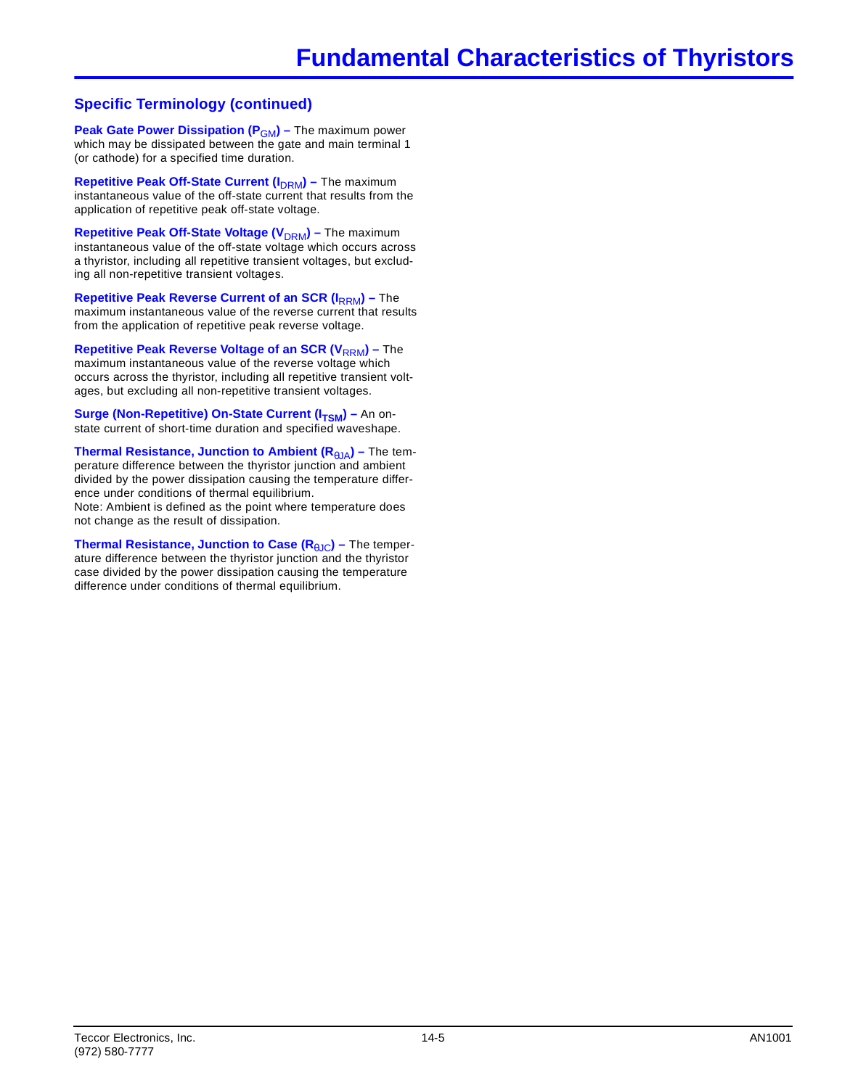# **Specific Terminology (continued)**

**Peak Gate Power Dissipation (P<sub>GM</sub>) – The maximum power** which may be dissipated between the gate and main terminal 1 (or cathode) for a specified time duration.

**Repetitive Peak Off-State Current (I<sub>DRM</sub>) – The maximum** instantaneous value of the off-state current that results from the application of repetitive peak off-state voltage.

**Repetitive Peak Off-State Voltage (V<sub>DRM</sub>) – The maximum** instantaneous value of the off-state voltage which occurs across a thyristor, including all repetitive transient voltages, but excluding all non-repetitive transient voltages.

**Repetitive Peak Reverse Current of an SCR (I<sub>RRM</sub>) – The** maximum instantaneous value of the reverse current that results from the application of repetitive peak reverse voltage.

**Repetitive Peak Reverse Voltage of an SCR (V<sub>RRM</sub>) – The** maximum instantaneous value of the reverse voltage which occurs across the thyristor, including all repetitive transient voltages, but excluding all non-repetitive transient voltages.

**Surge (Non-Repetitive) On-State Current (I<sub>TSM</sub>) – An on**state current of short-time duration and specified waveshape.

**Thermal Resistance, Junction to Ambient (R<sub>θJA</sub>) – The tem**perature difference between the thyristor junction and ambient divided by the power dissipation causing the temperature difference under conditions of thermal equilibrium. Note: Ambient is defined as the point where temperature does not change as the result of dissipation.

**Thermal Resistance, Junction to Case (R<sub>θJC</sub>) – The temper**ature difference between the thyristor junction and the thyristor case divided by the power dissipation causing the temperature difference under conditions of thermal equilibrium.